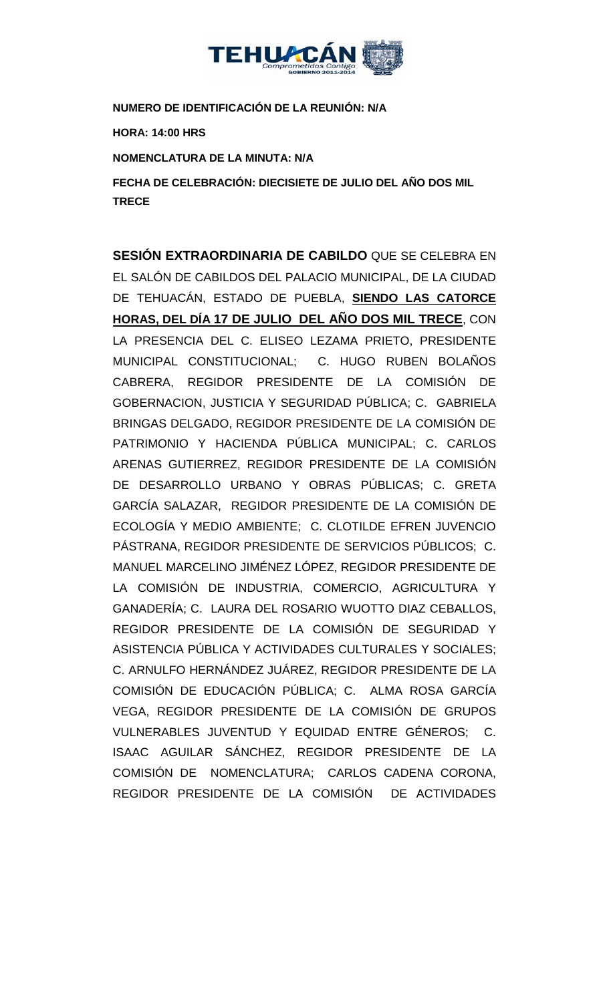

**NUMERO DE IDENTIFICACIÓN DE LA REUNIÓN: N/A**

**HORA: 14:00 HRS**

**NOMENCLATURA DE LA MINUTA: N/A**

**FECHA DE CELEBRACIÓN: DIECISIETE DE JULIO DEL AÑO DOS MIL TRECE** 

**SESIÓN EXTRAORDINARIA DE CABILDO** QUE SE CELEBRA EN EL SALÓN DE CABILDOS DEL PALACIO MUNICIPAL, DE LA CIUDAD DE TEHUACÁN, ESTADO DE PUEBLA, **SIENDO LAS CATORCE HORAS, DEL DÍA 17 DE JULIO DEL AÑO DOS MIL TRECE**, CON LA PRESENCIA DEL C. ELISEO LEZAMA PRIETO, PRESIDENTE MUNICIPAL CONSTITUCIONAL; C. HUGO RUBEN BOLAÑOS CABRERA, REGIDOR PRESIDENTE DE LA COMISIÓN DE GOBERNACION, JUSTICIA Y SEGURIDAD PÚBLICA; C. GABRIELA BRINGAS DELGADO, REGIDOR PRESIDENTE DE LA COMISIÓN DE PATRIMONIO Y HACIENDA PÚBLICA MUNICIPAL; C. CARLOS ARENAS GUTIERREZ, REGIDOR PRESIDENTE DE LA COMISIÓN DE DESARROLLO URBANO Y OBRAS PÚBLICAS; C. GRETA GARCÍA SALAZAR, REGIDOR PRESIDENTE DE LA COMISIÓN DE ECOLOGÍA Y MEDIO AMBIENTE; C. CLOTILDE EFREN JUVENCIO PÁSTRANA, REGIDOR PRESIDENTE DE SERVICIOS PÚBLICOS; C. MANUEL MARCELINO JIMÉNEZ LÓPEZ, REGIDOR PRESIDENTE DE LA COMISIÓN DE INDUSTRIA, COMERCIO, AGRICULTURA Y GANADERÍA; C. LAURA DEL ROSARIO WUOTTO DIAZ CEBALLOS, REGIDOR PRESIDENTE DE LA COMISIÓN DE SEGURIDAD Y ASISTENCIA PÚBLICA Y ACTIVIDADES CULTURALES Y SOCIALES; C. ARNULFO HERNÁNDEZ JUÁREZ, REGIDOR PRESIDENTE DE LA COMISIÓN DE EDUCACIÓN PÚBLICA; C. ALMA ROSA GARCÍA VEGA, REGIDOR PRESIDENTE DE LA COMISIÓN DE GRUPOS VULNERABLES JUVENTUD Y EQUIDAD ENTRE GÉNEROS; C. ISAAC AGUILAR SÁNCHEZ, REGIDOR PRESIDENTE DE LA COMISIÓN DE NOMENCLATURA; CARLOS CADENA CORONA, REGIDOR PRESIDENTE DE LA COMISIÓN DE ACTIVIDADES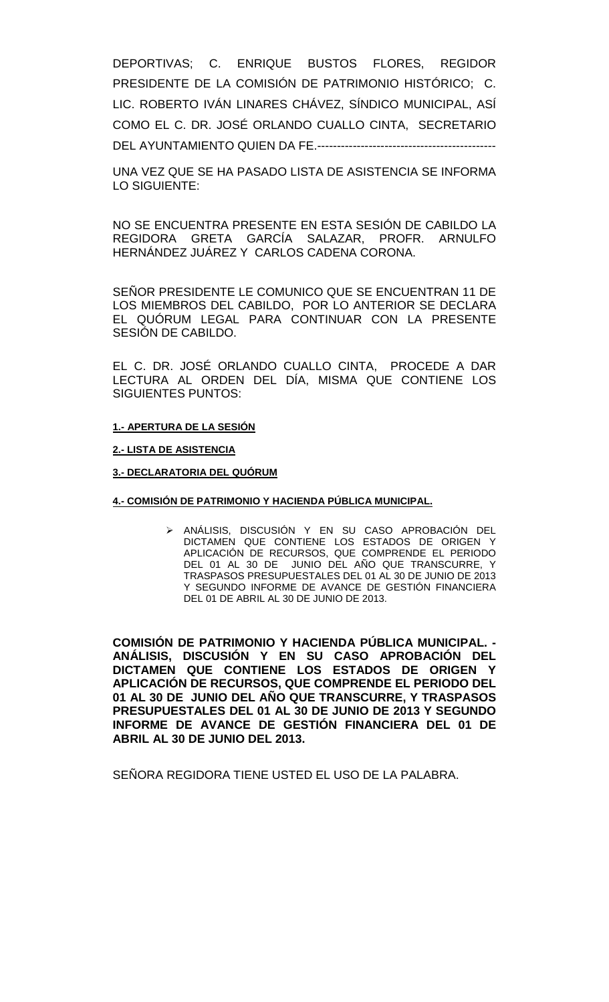DEPORTIVAS; C. ENRIQUE BUSTOS FLORES, REGIDOR PRESIDENTE DE LA COMISIÓN DE PATRIMONIO HISTÓRICO; C. LIC. ROBERTO IVÁN LINARES CHÁVEZ, SÍNDICO MUNICIPAL, ASÍ COMO EL C. DR. JOSÉ ORLANDO CUALLO CINTA, SECRETARIO DEL AYUNTAMIENTO QUIEN DA FE.---------------------------------------------

UNA VEZ QUE SE HA PASADO LISTA DE ASISTENCIA SE INFORMA LO SIGUIENTE:

NO SE ENCUENTRA PRESENTE EN ESTA SESIÓN DE CABILDO LA REGIDORA GRETA GARCÍA SALAZAR, PROFR. ARNULFO HERNÁNDEZ JUÁREZ Y CARLOS CADENA CORONA.

SEÑOR PRESIDENTE LE COMUNICO QUE SE ENCUENTRAN 11 DE LOS MIEMBROS DEL CABILDO, POR LO ANTERIOR SE DECLARA EL QUÓRUM LEGAL PARA CONTINUAR CON LA PRESENTE SESIÓN DE CABILDO.

EL C. DR. JOSÉ ORLANDO CUALLO CINTA, PROCEDE A DAR LECTURA AL ORDEN DEL DÍA, MISMA QUE CONTIENE LOS SIGUIENTES PUNTOS:

### **1.- APERTURA DE LA SESIÓN**

### **2.- LISTA DE ASISTENCIA**

### **3.- DECLARATORIA DEL QUÓRUM**

#### **4.- COMISIÓN DE PATRIMONIO Y HACIENDA PÚBLICA MUNICIPAL.**

 ANÁLISIS, DISCUSIÓN Y EN SU CASO APROBACIÓN DEL DICTAMEN QUE CONTIENE LOS ESTADOS DE ORIGEN Y APLICACIÓN DE RECURSOS, QUE COMPRENDE EL PERIODO DEL 01 AL 30 DE JUNIO DEL AÑO QUE TRANSCURRE, Y TRASPASOS PRESUPUESTALES DEL 01 AL 30 DE JUNIO DE 2013 Y SEGUNDO INFORME DE AVANCE DE GESTIÓN FINANCIERA DEL 01 DE ABRIL AL 30 DE JUNIO DE 2013.

**COMISIÓN DE PATRIMONIO Y HACIENDA PÚBLICA MUNICIPAL. - ANÁLISIS, DISCUSIÓN Y EN SU CASO APROBACIÓN DEL DICTAMEN QUE CONTIENE LOS ESTADOS DE ORIGEN Y APLICACIÓN DE RECURSOS, QUE COMPRENDE EL PERIODO DEL 01 AL 30 DE JUNIO DEL AÑO QUE TRANSCURRE, Y TRASPASOS PRESUPUESTALES DEL 01 AL 30 DE JUNIO DE 2013 Y SEGUNDO INFORME DE AVANCE DE GESTIÓN FINANCIERA DEL 01 DE ABRIL AL 30 DE JUNIO DEL 2013.**

SEÑORA REGIDORA TIENE USTED EL USO DE LA PALABRA.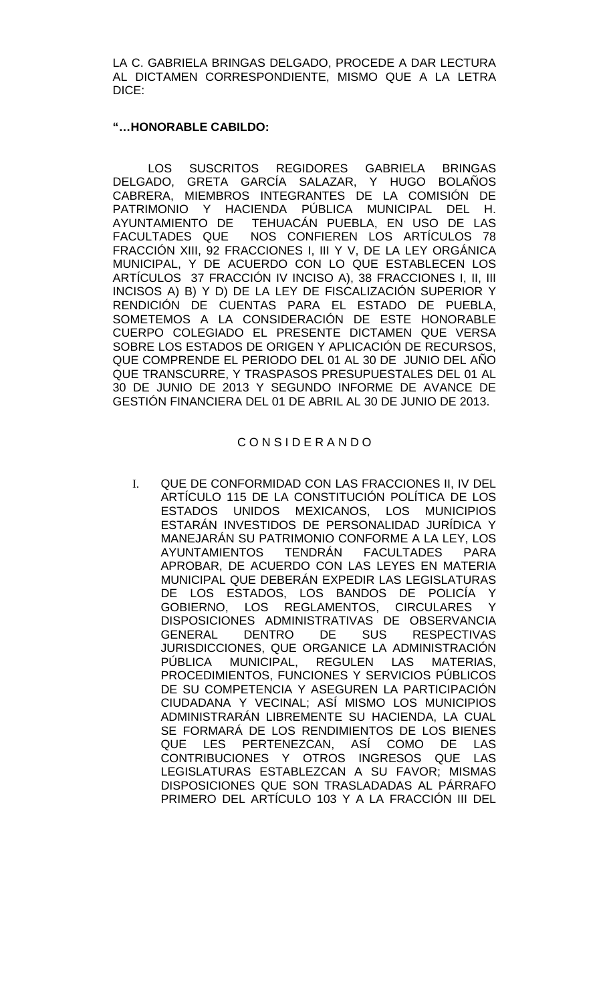LA C. GABRIELA BRINGAS DELGADO, PROCEDE A DAR LECTURA AL DICTAMEN CORRESPONDIENTE, MISMO QUE A LA LETRA DICE:

### **"…HONORABLE CABILDO:**

LOS SUSCRITOS REGIDORES GABRIELA BRINGAS DELGADO, GRETA GARCÍA SALAZAR, Y HUGO BOLAÑOS CABRERA, MIEMBROS INTEGRANTES DE LA COMISIÓN DE PATRIMONIO Y HACIENDA PÚBLICA MUNICIPAL DEL H. AYUNTAMIENTO DE TEHUACÁN PUEBLA, EN USO DE LAS FACULTADES QUE NOS CONFIEREN LOS ARTÍCULOS 78 FRACCIÓN XIII, 92 FRACCIONES I, III Y V, DE LA LEY ORGÁNICA MUNICIPAL, Y DE ACUERDO CON LO QUE ESTABLECEN LOS ARTÍCULOS 37 FRACCIÓN IV INCISO A), 38 FRACCIONES I, II, III INCISOS A) B) Y D) DE LA LEY DE FISCALIZACIÓN SUPERIOR Y RENDICIÓN DE CUENTAS PARA EL ESTADO DE PUEBLA, SOMETEMOS A LA CONSIDERACIÓN DE ESTE HONORABLE CUERPO COLEGIADO EL PRESENTE DICTAMEN QUE VERSA SOBRE LOS ESTADOS DE ORIGEN Y APLICACIÓN DE RECURSOS, QUE COMPRENDE EL PERIODO DEL 01 AL 30 DE JUNIO DEL AÑO QUE TRANSCURRE, Y TRASPASOS PRESUPUESTALES DEL 01 AL 30 DE JUNIO DE 2013 Y SEGUNDO INFORME DE AVANCE DE GESTIÓN FINANCIERA DEL 01 DE ABRIL AL 30 DE JUNIO DE 2013.

## C O N S I D E R A N D O

I. QUE DE CONFORMIDAD CON LAS FRACCIONES II, IV DEL ARTÍCULO 115 DE LA CONSTITUCIÓN POLÍTICA DE LOS ESTADOS UNIDOS MEXICANOS, LOS MUNICIPIOS ESTARÁN INVESTIDOS DE PERSONALIDAD JURÍDICA Y MANEJARÁN SU PATRIMONIO CONFORME A LA LEY, LOS AYUNTAMIENTOS TENDRÁN FACULTADES PARA APROBAR, DE ACUERDO CON LAS LEYES EN MATERIA MUNICIPAL QUE DEBERÁN EXPEDIR LAS LEGISLATURAS DE LOS ESTADOS, LOS BANDOS DE POLICÍA Y GOBIERNO, LOS REGLAMENTOS, CIRCULARES Y DISPOSICIONES ADMINISTRATIVAS DE OBSERVANCIA GENERAL DENTRO DE SUS RESPECTIVAS JURISDICCIONES, QUE ORGANICE LA ADMINISTRACIÓN PÚBLICA MUNICIPAL, REGULEN LAS MATERIAS, PROCEDIMIENTOS, FUNCIONES Y SERVICIOS PÚBLICOS DE SU COMPETENCIA Y ASEGUREN LA PARTICIPACIÓN CIUDADANA Y VECINAL; ASÍ MISMO LOS MUNICIPIOS ADMINISTRARÁN LIBREMENTE SU HACIENDA, LA CUAL SE FORMARÁ DE LOS RENDIMIENTOS DE LOS BIENES QUE LES PERTENEZCAN, ASÍ COMO DE LAS CONTRIBUCIONES Y OTROS INGRESOS QUE LAS LEGISLATURAS ESTABLEZCAN A SU FAVOR; MISMAS DISPOSICIONES QUE SON TRASLADADAS AL PÁRRAFO PRIMERO DEL ARTÍCULO 103 Y A LA FRACCIÓN III DEL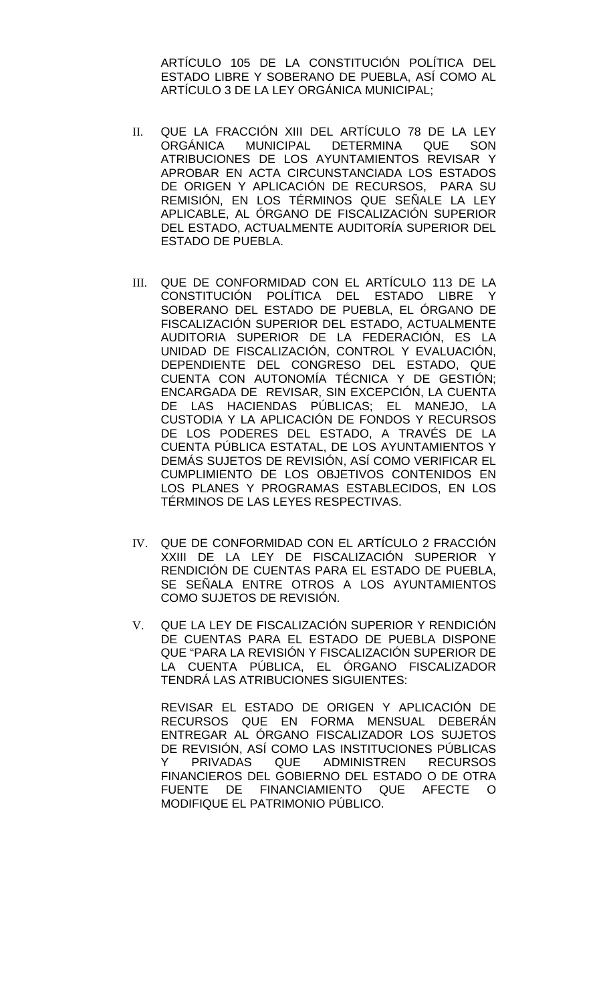ARTÍCULO 105 DE LA CONSTITUCIÓN POLÍTICA DEL ESTADO LIBRE Y SOBERANO DE PUEBLA, ASÍ COMO AL ARTÍCULO 3 DE LA LEY ORGÁNICA MUNICIPAL;

- II. QUE LA FRACCIÓN XIII DEL ARTÍCULO 78 DE LA LEY ORGÁNICA MUNICIPAL DETERMINA QUE SON ATRIBUCIONES DE LOS AYUNTAMIENTOS REVISAR Y APROBAR EN ACTA CIRCUNSTANCIADA LOS ESTADOS DE ORIGEN Y APLICACIÓN DE RECURSOS, PARA SU REMISIÓN, EN LOS TÉRMINOS QUE SEÑALE LA LEY APLICABLE, AL ÓRGANO DE FISCALIZACIÓN SUPERIOR DEL ESTADO, ACTUALMENTE AUDITORÍA SUPERIOR DEL ESTADO DE PUEBLA.
- III. QUE DE CONFORMIDAD CON EL ARTÍCULO 113 DE LA CONSTITUCIÓN POLÍTICA DEL ESTADO LIBRE Y SOBERANO DEL ESTADO DE PUEBLA, EL ÓRGANO DE FISCALIZACIÓN SUPERIOR DEL ESTADO, ACTUALMENTE AUDITORIA SUPERIOR DE LA FEDERACIÓN, ES LA UNIDAD DE FISCALIZACIÓN, CONTROL Y EVALUACIÓN, DEPENDIENTE DEL CONGRESO DEL ESTADO, QUE CUENTA CON AUTONOMÍA TÉCNICA Y DE GESTIÓN; ENCARGADA DE REVISAR, SIN EXCEPCIÓN, LA CUENTA DE LAS HACIENDAS PÚBLICAS; EL MANEJO, LA CUSTODIA Y LA APLICACIÓN DE FONDOS Y RECURSOS DE LOS PODERES DEL ESTADO, A TRAVÉS DE LA CUENTA PÚBLICA ESTATAL, DE LOS AYUNTAMIENTOS Y DEMÁS SUJETOS DE REVISIÓN, ASÍ COMO VERIFICAR EL CUMPLIMIENTO DE LOS OBJETIVOS CONTENIDOS EN LOS PLANES Y PROGRAMAS ESTABLECIDOS, EN LOS TÉRMINOS DE LAS LEYES RESPECTIVAS.
- IV. QUE DE CONFORMIDAD CON EL ARTÍCULO 2 FRACCIÓN XXIII DE LA LEY DE FISCALIZACIÓN SUPERIOR Y RENDICIÓN DE CUENTAS PARA EL ESTADO DE PUEBLA, SE SEÑALA ENTRE OTROS A LOS AYUNTAMIENTOS COMO SUJETOS DE REVISIÓN.
- V. QUE LA LEY DE FISCALIZACIÓN SUPERIOR Y RENDICIÓN DE CUENTAS PARA EL ESTADO DE PUEBLA DISPONE QUE "PARA LA REVISIÓN Y FISCALIZACIÓN SUPERIOR DE LA CUENTA PÚBLICA, EL ÓRGANO FISCALIZADOR TENDRÁ LAS ATRIBUCIONES SIGUIENTES:

REVISAR EL ESTADO DE ORIGEN Y APLICACIÓN DE RECURSOS QUE EN FORMA MENSUAL DEBERÁN ENTREGAR AL ÓRGANO FISCALIZADOR LOS SUJETOS DE REVISIÓN, ASÍ COMO LAS INSTITUCIONES PÚBLICAS<br>Y PRIVADAS QUE ADMINISTREN RECURSOS Y PRIVADAS QUE ADMINISTREN FINANCIEROS DEL GOBIERNO DEL ESTADO O DE OTRA FUENTE DE FINANCIAMIENTO QUE AFECTE O MODIFIQUE EL PATRIMONIO PÚBLICO.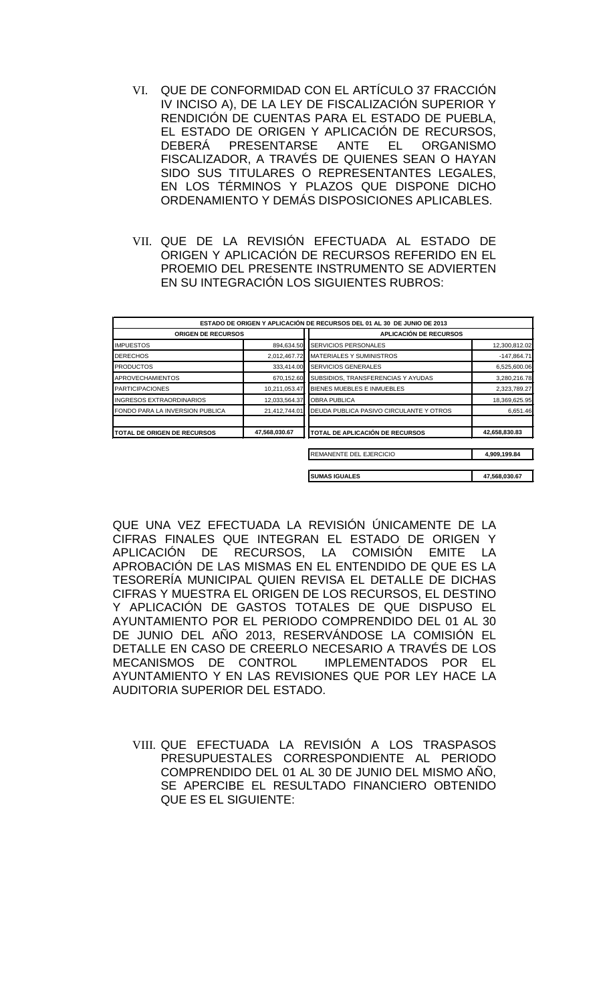- VI. QUE DE CONFORMIDAD CON EL ARTÍCULO 37 FRACCIÓN IV INCISO A), DE LA LEY DE FISCALIZACIÓN SUPERIOR Y RENDICIÓN DE CUENTAS PARA EL ESTADO DE PUEBLA, EL ESTADO DE ORIGEN Y APLICACIÓN DE RECURSOS, DEBERÁ PRESENTARSE ANTE EL ORGANISMO FISCALIZADOR, A TRAVÉS DE QUIENES SEAN O HAYAN SIDO SUS TITULARES O REPRESENTANTES LEGALES, EN LOS TÉRMINOS Y PLAZOS QUE DISPONE DICHO ORDENAMIENTO Y DEMÁS DISPOSICIONES APLICABLES.
- VII. QUE DE LA REVISIÓN EFECTUADA AL ESTADO DE ORIGEN Y APLICACIÓN DE RECURSOS REFERIDO EN EL PROEMIO DEL PRESENTE INSTRUMENTO SE ADVIERTEN EN SU INTEGRACIÓN LOS SIGUIENTES RUBROS:

| ESTADO DE ORIGEN Y APLICACIÓN DE RECURSOS DEL 01 AL 30 DE JUNIO DE 2013 |               |                                         |               |  |
|-------------------------------------------------------------------------|---------------|-----------------------------------------|---------------|--|
| <b>ORIGEN DE RECURSOS</b>                                               |               | <b>APLICACIÓN DE RECURSOS</b>           |               |  |
| <b>IMPUESTOS</b>                                                        | 894.634.50    | <b>SERVICIOS PERSONALES</b>             | 12,300,812.02 |  |
| <b>DERECHOS</b>                                                         | 2,012,467.72  | <b>MATERIALES Y SUMINISTROS</b>         | $-147,864.71$ |  |
| <b>PRODUCTOS</b>                                                        | 333,414.00    | <b>SERVICIOS GENERALES</b>              | 6,525,600.06  |  |
| <b>APROVECHAMIENTOS</b>                                                 | 670,152.60    | SUBSIDIOS, TRANSFERENCIAS Y AYUDAS      | 3,280,216.78  |  |
| <b>PARTICIPACIONES</b>                                                  | 10,211,053.47 | <b>BIENES MUEBLES E INMUEBLES</b>       | 2,323,789.27  |  |
| <b>INGRESOS EXTRAORDINARIOS</b>                                         | 12,033,564.37 | <b>OBRA PUBLICA</b>                     | 18,369,625.95 |  |
| FONDO PARA LA INVERSION PUBLICA                                         | 21,412,744.01 | DEUDA PUBLICA PASIVO CIRCULANTE Y OTROS | 6,651.46      |  |
| TOTAL DE ORIGEN DE RECURSOS                                             | 47,568,030.67 | TOTAL DE APLICACIÓN DE RECURSOS         | 42,658,830.83 |  |
|                                                                         |               | REMANENTE DEL EJERCICIO                 | 4,909,199.84  |  |
|                                                                         |               | <b>SUMAS IGUALES</b>                    | 47,568,030.67 |  |

QUE UNA VEZ EFECTUADA LA REVISIÓN ÚNICAMENTE DE LA CIFRAS FINALES QUE INTEGRAN EL ESTADO DE ORIGEN Y APLICACIÓN DE RECURSOS, LA COMISIÓN EMITE LA APROBACIÓN DE LAS MISMAS EN EL ENTENDIDO DE QUE ES LA TESORERÍA MUNICIPAL QUIEN REVISA EL DETALLE DE DICHAS CIFRAS Y MUESTRA EL ORIGEN DE LOS RECURSOS, EL DESTINO Y APLICACIÓN DE GASTOS TOTALES DE QUE DISPUSO EL AYUNTAMIENTO POR EL PERIODO COMPRENDIDO DEL 01 AL 30 DE JUNIO DEL AÑO 2013, RESERVÁNDOSE LA COMISIÓN EL DETALLE EN CASO DE CREERLO NECESARIO A TRAVÉS DE LOS MECANISMOS DE CONTROL IMPLEMENTADOS POR EL AYUNTAMIENTO Y EN LAS REVISIONES QUE POR LEY HACE LA AUDITORIA SUPERIOR DEL ESTADO.

VIII. QUE EFECTUADA LA REVISIÓN A LOS TRASPASOS PRESUPUESTALES CORRESPONDIENTE AL PERIODO COMPRENDIDO DEL 01 AL 30 DE JUNIO DEL MISMO AÑO, SE APERCIBE EL RESULTADO FINANCIERO OBTENIDO QUE ES EL SIGUIENTE: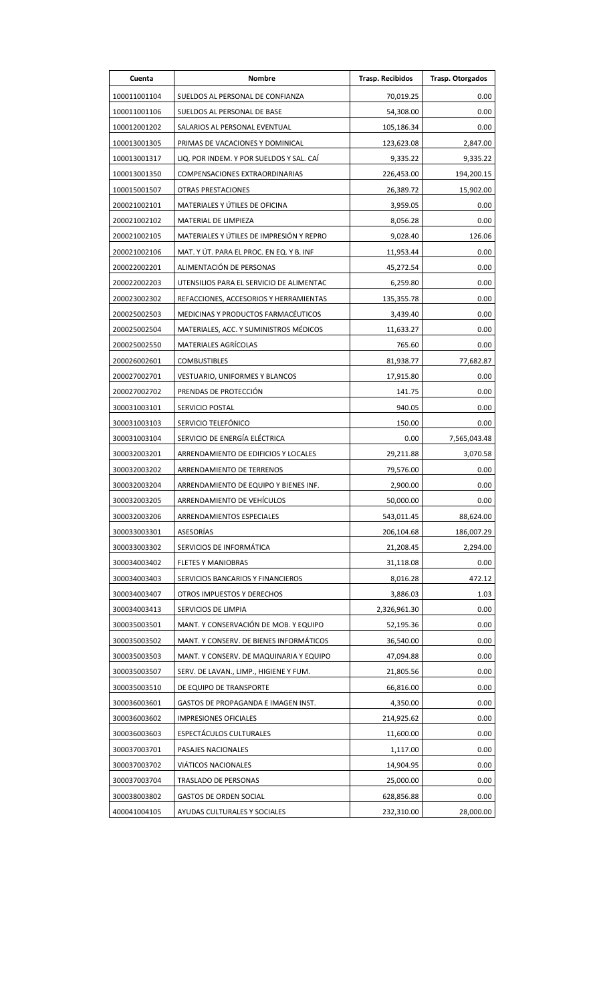| Cuenta       | <b>Nombre</b>                            | <b>Trasp. Recibidos</b> | Trasp. Otorgados |
|--------------|------------------------------------------|-------------------------|------------------|
| 100011001104 | SUELDOS AL PERSONAL DE CONFIANZA         | 70,019.25               | 0.00             |
| 100011001106 | SUELDOS AL PERSONAL DE BASE              | 54,308.00               | 0.00             |
| 100012001202 | SALARIOS AL PERSONAL EVENTUAL            | 105,186.34              | 0.00             |
| 100013001305 | PRIMAS DE VACACIONES Y DOMINICAL         | 123,623.08              | 2,847.00         |
| 100013001317 | LIQ. POR INDEM. Y POR SUELDOS Y SAL. CAÍ | 9,335.22                | 9,335.22         |
| 100013001350 | <b>COMPENSACIONES EXTRAORDINARIAS</b>    | 226,453.00              | 194,200.15       |
| 100015001507 | <b>OTRAS PRESTACIONES</b>                | 26,389.72               | 15,902.00        |
| 200021002101 | MATERIALES Y ÚTILES DE OFICINA           | 3,959.05                | 0.00             |
| 200021002102 | MATERIAL DE LIMPIEZA                     | 8,056.28                | 0.00             |
| 200021002105 | MATERIALES Y ÚTILES DE IMPRESIÓN Y REPRO | 9,028.40                | 126.06           |
| 200021002106 | MAT. Y ÚT. PARA EL PROC. EN EQ. Y B. INF | 11,953.44               | 0.00             |
| 200022002201 | ALIMENTACIÓN DE PERSONAS                 | 45,272.54               | 0.00             |
| 200022002203 | UTENSILIOS PARA EL SERVICIO DE ALIMENTAC | 6,259.80                | 0.00             |
| 200023002302 | REFACCIONES, ACCESORIOS Y HERRAMIENTAS   | 135,355.78              | 0.00             |
| 200025002503 | MEDICINAS Y PRODUCTOS FARMACÉUTICOS      | 3,439.40                | 0.00             |
| 200025002504 | MATERIALES, ACC. Y SUMINISTROS MÉDICOS   | 11,633.27               | 0.00             |
| 200025002550 | MATERIALES AGRÍCOLAS                     | 765.60                  | 0.00             |
| 200026002601 | <b>COMBUSTIBLES</b>                      | 81,938.77               | 77,682.87        |
| 200027002701 | VESTUARIO, UNIFORMES Y BLANCOS           | 17,915.80               | 0.00             |
| 200027002702 | PRENDAS DE PROTECCIÓN                    | 141.75                  | 0.00             |
| 300031003101 | SERVICIO POSTAL                          | 940.05                  | 0.00             |
| 300031003103 | SERVICIO TELEFÓNICO                      | 150.00                  | 0.00             |
| 300031003104 | SERVICIO DE ENERGÍA ELÉCTRICA            | 0.00                    | 7,565,043.48     |
| 300032003201 | ARRENDAMIENTO DE EDIFICIOS Y LOCALES     | 29,211.88               | 3,070.58         |
| 300032003202 | ARRENDAMIENTO DE TERRENOS                | 79,576.00               | 0.00             |
| 300032003204 | ARRENDAMIENTO DE EQUIPO Y BIENES INF.    | 2,900.00                | 0.00             |
| 300032003205 | ARRENDAMIENTO DE VEHÍCULOS               | 50,000.00               | 0.00             |
| 300032003206 | ARRENDAMIENTOS ESPECIALES                | 543,011.45              | 88,624.00        |
| 300033003301 | ASESORÍAS                                | 206,104.68              | 186,007.29       |
| 300033003302 | SERVICIOS DE INFORMÁTICA                 | 21,208.45               | 2,294.00         |
| 300034003402 | <b>FLETES Y MANIOBRAS</b>                | 31,118.08               | 0.00             |
| 300034003403 | SERVICIOS BANCARIOS Y FINANCIEROS        | 8,016.28                | 472.12           |
| 300034003407 | OTROS IMPUESTOS Y DERECHOS               | 3,886.03                | 1.03             |
| 300034003413 | SERVICIOS DE LIMPIA                      | 2,326,961.30            | 0.00             |
| 300035003501 | MANT. Y CONSERVACIÓN DE MOB. Y EQUIPO    | 52,195.36               | 0.00             |
| 300035003502 | MANT. Y CONSERV. DE BIENES INFORMÁTICOS  | 36,540.00               | 0.00             |
| 300035003503 | MANT. Y CONSERV. DE MAQUINARIA Y EQUIPO  | 47,094.88               | 0.00             |
| 300035003507 | SERV. DE LAVAN., LIMP., HIGIENE Y FUM.   | 21,805.56               | 0.00             |
| 300035003510 | DE EQUIPO DE TRANSPORTE                  | 66,816.00               | 0.00             |
| 300036003601 | GASTOS DE PROPAGANDA E IMAGEN INST.      | 4,350.00                | 0.00             |
| 300036003602 | <b>IMPRESIONES OFICIALES</b>             | 214,925.62              | 0.00             |
| 300036003603 | ESPECTÁCULOS CULTURALES                  | 11,600.00               | 0.00             |
| 300037003701 | PASAJES NACIONALES                       | 1,117.00                | 0.00             |
| 300037003702 | VIÁTICOS NACIONALES                      | 14,904.95               | 0.00             |
| 300037003704 | TRASLADO DE PERSONAS                     | 25,000.00               | 0.00             |
| 300038003802 | <b>GASTOS DE ORDEN SOCIAL</b>            | 628,856.88              | 0.00             |
| 400041004105 | AYUDAS CULTURALES Y SOCIALES             | 232,310.00              | 28,000.00        |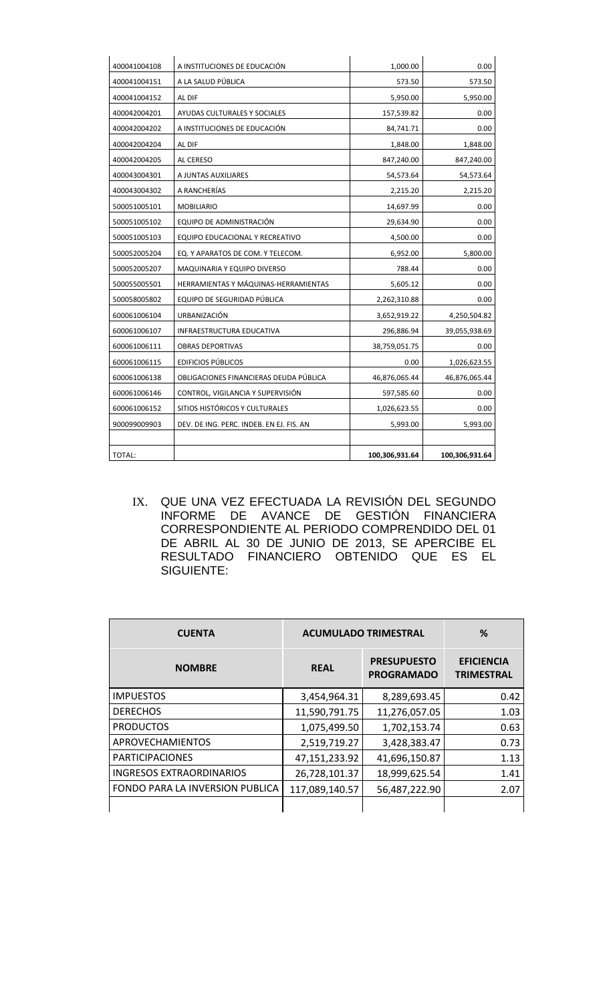| 400041004108 | A INSTITUCIONES DE EDUCACIÓN             | 1,000.00       | 0.00           |
|--------------|------------------------------------------|----------------|----------------|
| 400041004151 | A LA SALUD PÚBLICA                       | 573.50         | 573.50         |
| 400041004152 | AL DIF                                   | 5,950.00       | 5,950.00       |
| 400042004201 | AYUDAS CULTURALES Y SOCIALES             | 157,539.82     | 0.00           |
| 400042004202 | A INSTITUCIONES DE EDUCACIÓN             | 84,741.71      | 0.00           |
| 400042004204 | AL DIF                                   | 1,848.00       | 1,848.00       |
| 400042004205 | AL CERESO                                | 847,240.00     | 847,240.00     |
| 400043004301 | A JUNTAS AUXILIARES                      | 54,573.64      | 54,573.64      |
| 400043004302 | A RANCHERÍAS                             | 2,215.20       | 2,215.20       |
| 500051005101 | <b>MOBILIARIO</b>                        | 14,697.99      | 0.00           |
| 500051005102 | EQUIPO DE ADMINISTRACIÓN                 | 29,634.90      | 0.00           |
| 500051005103 | EQUIPO EDUCACIONAL Y RECREATIVO          | 4,500.00       | 0.00           |
| 500052005204 | EQ. Y APARATOS DE COM. Y TELECOM.        | 6,952.00       | 5,800.00       |
| 500052005207 | MAQUINARIA Y EQUIPO DIVERSO              | 788.44         | 0.00           |
| 500055005501 | HERRAMIENTAS Y MÁQUINAS-HERRAMIENTAS     | 5,605.12       | 0.00           |
| 500058005802 | EQUIPO DE SEGURIDAD PÚBLICA              | 2,262,310.88   | 0.00           |
| 600061006104 | URBANIZACIÓN                             | 3,652,919.22   | 4,250,504.82   |
| 600061006107 | INFRAESTRUCTURA EDUCATIVA                | 296,886.94     | 39,055,938.69  |
| 600061006111 | <b>OBRAS DEPORTIVAS</b>                  | 38,759,051.75  | 0.00           |
| 600061006115 | <b>EDIFICIOS PÚBLICOS</b>                | 0.00           | 1,026,623.55   |
| 600061006138 | OBLIGACIONES FINANCIERAS DEUDA PÚBLICA   | 46,876,065.44  | 46,876,065.44  |
| 600061006146 | CONTROL, VIGILANCIA Y SUPERVISIÓN        | 597,585.60     | 0.00           |
| 600061006152 | SITIOS HISTÓRICOS Y CULTURALES           | 1,026,623.55   | 0.00           |
| 900099009903 | DEV. DE ING. PERC. INDEB. EN EJ. FIS. AN | 5,993.00       | 5,993.00       |
|              |                                          |                |                |
| TOTAL:       |                                          | 100,306,931.64 | 100,306,931.64 |

IX. QUE UNA VEZ EFECTUADA LA REVISIÓN DEL SEGUNDO INFORME DE AVANCE DE GESTIÓN FINANCIERA CORRESPONDIENTE AL PERIODO COMPRENDIDO DEL 01 DE ABRIL AL 30 DE JUNIO DE 2013, SE APERCIBE EL RESULTADO FINANCIERO OBTENIDO QUE ES EL SIGUIENTE:

| <b>CUENTA</b>                   | <b>ACUMULADO TRIMESTRAL</b> |                                         | %                                      |  |
|---------------------------------|-----------------------------|-----------------------------------------|----------------------------------------|--|
| <b>NOMBRE</b>                   | <b>REAL</b>                 | <b>PRESUPUESTO</b><br><b>PROGRAMADO</b> | <b>EFICIENCIA</b><br><b>TRIMESTRAL</b> |  |
| <b>IMPUESTOS</b>                | 3,454,964.31                | 8,289,693.45                            | 0.42                                   |  |
| <b>DERECHOS</b>                 | 11,590,791.75               | 11,276,057.05                           | 1.03                                   |  |
| <b>PRODUCTOS</b>                | 1,075,499.50                | 1,702,153.74                            | 0.63                                   |  |
| <b>APROVECHAMIENTOS</b>         | 2,519,719.27                | 3,428,383.47                            | 0.73                                   |  |
| <b>PARTICIPACIONES</b>          | 47,151,233.92               | 41,696,150.87                           | 1.13                                   |  |
| <b>INGRESOS EXTRAORDINARIOS</b> | 26,728,101.37               | 18,999,625.54                           | 1.41                                   |  |
| FONDO PARA LA INVERSION PUBLICA | 117,089,140.57              | 56,487,222.90                           | 2.07                                   |  |
|                                 |                             |                                         |                                        |  |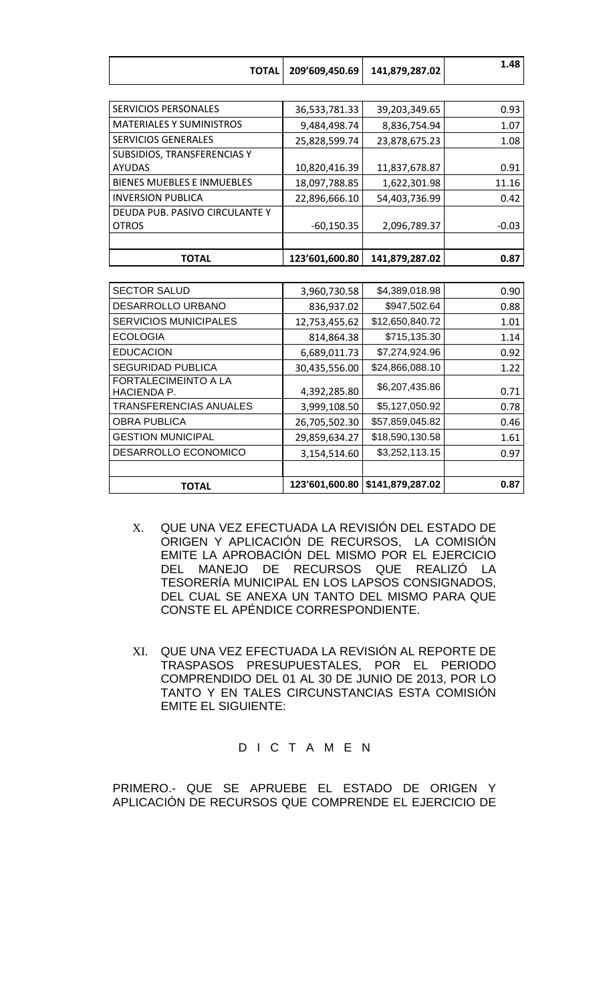| <b>TOTAL</b>                      | 209'609,450.69 | 141,879,287.02 | 1.48    |
|-----------------------------------|----------------|----------------|---------|
|                                   |                |                |         |
| <b>SERVICIOS PERSONALES</b>       | 36,533,781.33  | 39,203,349.65  | 0.93    |
| <b>MATERIALES Y SUMINISTROS</b>   | 9,484,498.74   | 8,836,754.94   | 1.07    |
| <b>SERVICIOS GENERALES</b>        | 25,828,599.74  | 23,878,675.23  | 1.08    |
| SUBSIDIOS, TRANSFERENCIAS Y       |                |                |         |
| <b>AYUDAS</b>                     | 10,820,416.39  | 11,837,678.87  | 0.91    |
| <b>BIENES MUEBLES E INMUEBLES</b> | 18,097,788.85  | 1,622,301.98   | 11.16   |
| <b>INVERSION PUBLICA</b>          | 22,896,666.10  | 54,403,736.99  | 0.42    |
| DEUDA PUB. PASIVO CIRCULANTE Y    |                |                |         |
| <b>OTROS</b>                      | $-60,150.35$   | 2,096,789.37   | $-0.03$ |
|                                   |                |                |         |
| <b>TOTAL</b>                      | 123'601,600.80 | 141,879,287.02 | 0.87    |
|                                   |                |                |         |
| <b>SECTOR SALUD</b>               | 3.960.730.58   | \$4,389,018.98 | 0.90    |

| <b>TOTAL</b>                               | 123'601,600.80 | \$141,879,287.02 | 0.87 |
|--------------------------------------------|----------------|------------------|------|
|                                            |                |                  |      |
| DESARROLLO ECONOMICO                       | 3,154,514.60   | \$3,252,113.15   | 0.97 |
| <b>GESTION MUNICIPAL</b>                   | 29,859,634.27  | \$18,590,130.58  | 1.61 |
| <b>OBRA PUBLICA</b>                        | 26,705,502.30  | \$57,859,045.82  | 0.46 |
| TRANSFERENCIAS ANUALES                     | 3,999,108.50   | \$5,127,050.92   | 0.78 |
| <b>FORTALECIMEINTO A LA</b><br>HACIENDA P. | 4,392,285.80   | \$6,207,435.86   | 0.71 |
| <b>SEGURIDAD PUBLICA</b>                   | 30,435,556.00  | \$24,866,088.10  | 1.22 |
| <b>EDUCACION</b>                           | 6,689,011.73   | \$7,274,924.96   | 0.92 |
| <b>ECOLOGIA</b>                            | 814,864.38     | \$715,135.30     | 1.14 |
| <b>SERVICIOS MUNICIPALES</b>               | 12,753,455.62  | \$12,650,840.72  | 1.01 |
| DESARROLLO URBANO                          | 836,937.02     | \$947,502.64     | 0.88 |
| <b>SECTOR SALUD</b>                        | 3,960,730.58   | \$4,389,018.98   | 0.90 |

- X. QUE UNA VEZ EFECTUADA LA REVISIÓN DEL ESTADO DE ORIGEN Y APLICACIÓN DE RECURSOS, LA COMISIÓN EMITE LA APROBACIÓN DEL MISMO POR EL EJERCICIO DEL MANEJO DE RECURSOS QUE REALIZÓ LA TESORERÍA MUNICIPAL EN LOS LAPSOS CONSIGNADOS, DEL CUAL SE ANEXA UN TANTO DEL MISMO PARA QUE CONSTE EL APÉNDICE CORRESPONDIENTE.
- XI. QUE UNA VEZ EFECTUADA LA REVISIÓN AL REPORTE DE TRASPASOS PRESUPUESTALES, POR EL PERIODO COMPRENDIDO DEL 01 AL 30 DE JUNIO DE 2013, POR LO TANTO Y EN TALES CIRCUNSTANCIAS ESTA COMISIÓN EMITE EL SIGUIENTE:

## D I C T A M E N

PRIMERO.- QUE SE APRUEBE EL ESTADO DE ORIGEN Y APLICACIÓN DE RECURSOS QUE COMPRENDE EL EJERCICIO DE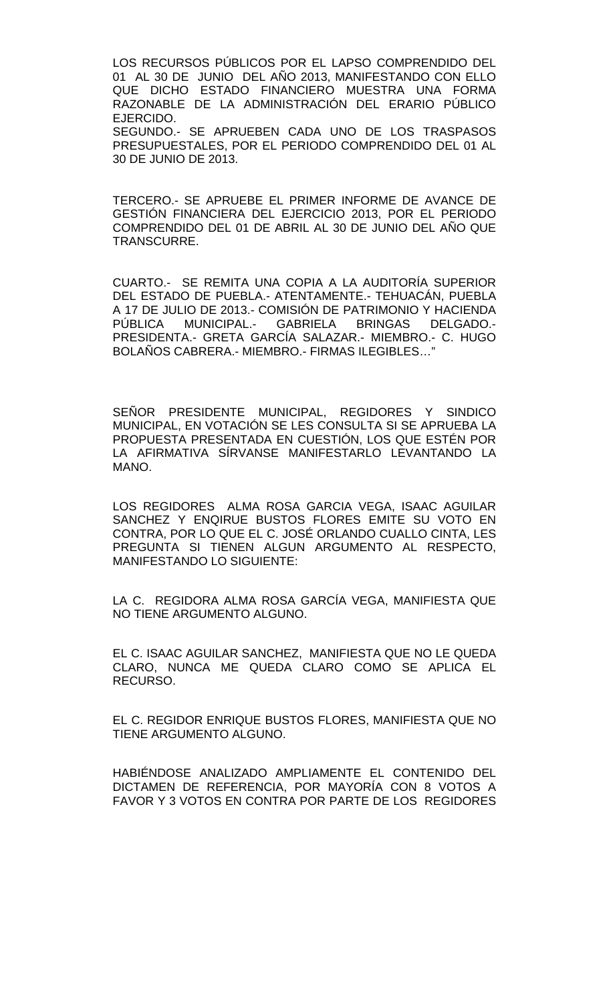LOS RECURSOS PÚBLICOS POR EL LAPSO COMPRENDIDO DEL 01 AL 30 DE JUNIO DEL AÑO 2013, MANIFESTANDO CON ELLO QUE DICHO ESTADO FINANCIERO MUESTRA UNA FORMA RAZONABLE DE LA ADMINISTRACIÓN DEL ERARIO PÚBLICO EJERCIDO. SEGUNDO.- SE APRUEBEN CADA UNO DE LOS TRASPASOS PRESUPUESTALES, POR EL PERIODO COMPRENDIDO DEL 01 AL 30 DE JUNIO DE 2013.

TERCERO.- SE APRUEBE EL PRIMER INFORME DE AVANCE DE GESTIÓN FINANCIERA DEL EJERCICIO 2013, POR EL PERIODO COMPRENDIDO DEL 01 DE ABRIL AL 30 DE JUNIO DEL AÑO QUE TRANSCURRE.

CUARTO.- SE REMITA UNA COPIA A LA AUDITORÍA SUPERIOR DEL ESTADO DE PUEBLA.- ATENTAMENTE.- TEHUACÁN, PUEBLA A 17 DE JULIO DE 2013.- COMISIÓN DE PATRIMONIO Y HACIENDA PÚBLICA MUNICIPAL.- GABRIELA BRINGAS DELGADO.- PRESIDENTA.- GRETA GARCÍA SALAZAR.- MIEMBRO.- C. HUGO BOLAÑOS CABRERA.- MIEMBRO.- FIRMAS ILEGIBLES…"

SEÑOR PRESIDENTE MUNICIPAL, REGIDORES Y SINDICO MUNICIPAL, EN VOTACIÓN SE LES CONSULTA SI SE APRUEBA LA PROPUESTA PRESENTADA EN CUESTIÓN, LOS QUE ESTÉN POR LA AFIRMATIVA SÍRVANSE MANIFESTARLO LEVANTANDO LA MANO.

LOS REGIDORES ALMA ROSA GARCIA VEGA, ISAAC AGUILAR SANCHEZ Y ENQIRUE BUSTOS FLORES EMITE SU VOTO EN CONTRA, POR LO QUE EL C. JOSÉ ORLANDO CUALLO CINTA, LES PREGUNTA SI TIENEN ALGUN ARGUMENTO AL RESPECTO, MANIFESTANDO LO SIGUIENTE:

LA C. REGIDORA ALMA ROSA GARCÍA VEGA, MANIFIESTA QUE NO TIENE ARGUMENTO ALGUNO.

EL C. ISAAC AGUILAR SANCHEZ, MANIFIESTA QUE NO LE QUEDA CLARO, NUNCA ME QUEDA CLARO COMO SE APLICA EL RECURSO.

EL C. REGIDOR ENRIQUE BUSTOS FLORES, MANIFIESTA QUE NO TIENE ARGUMENTO ALGUNO.

HABIÉNDOSE ANALIZADO AMPLIAMENTE EL CONTENIDO DEL DICTAMEN DE REFERENCIA, POR MAYORÍA CON 8 VOTOS A FAVOR Y 3 VOTOS EN CONTRA POR PARTE DE LOS REGIDORES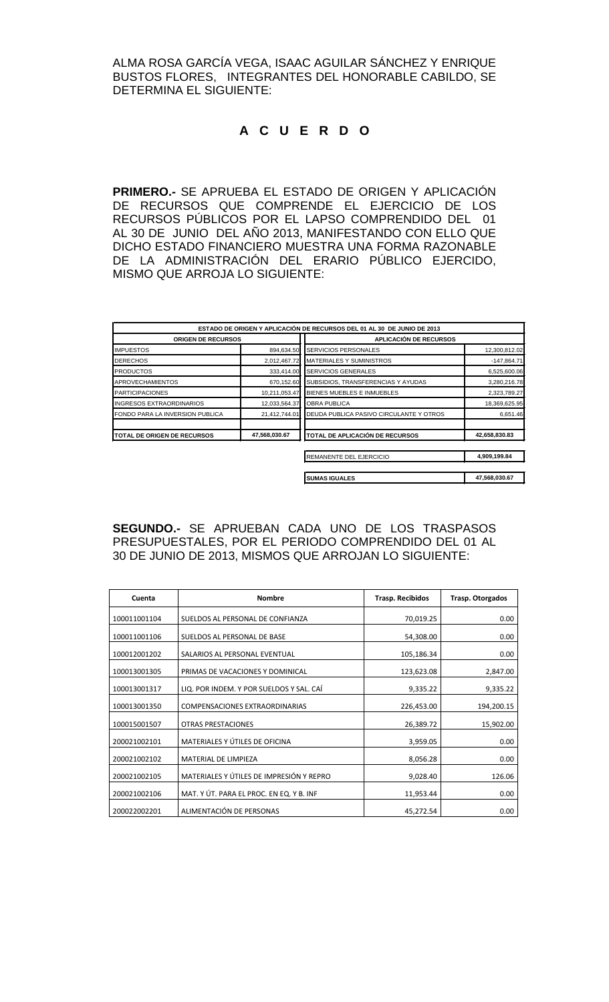ALMA ROSA GARCÍA VEGA, ISAAC AGUILAR SÁNCHEZ Y ENRIQUE BUSTOS FLORES, INTEGRANTES DEL HONORABLE CABILDO, SE DETERMINA EL SIGUIENTE:

# **A C U E R D O**

**PRIMERO.-** SE APRUEBA EL ESTADO DE ORIGEN Y APLICACIÓN DE RECURSOS QUE COMPRENDE EL EJERCICIO DE LOS RECURSOS PÚBLICOS POR EL LAPSO COMPRENDIDO DEL 01 AL 30 DE JUNIO DEL AÑO 2013, MANIFESTANDO CON ELLO QUE DICHO ESTADO FINANCIERO MUESTRA UNA FORMA RAZONABLE DE LA ADMINISTRACIÓN DEL ERARIO PÚBLICO EJERCIDO, MISMO QUE ARROJA LO SIGUIENTE:

|                                    |               | ESTADO DE ORIGEN Y APLICACIÓN DE RECURSOS DEL 01 AL 30 DE JUNIO DE 2013 |               |
|------------------------------------|---------------|-------------------------------------------------------------------------|---------------|
| <b>ORIGEN DE RECURSOS</b>          |               | <b>APLICACIÓN DE RECURSOS</b>                                           |               |
| <b>IMPUESTOS</b>                   | 894,634.50    | <b>SERVICIOS PERSONALES</b>                                             | 12,300,812.02 |
| <b>DERECHOS</b>                    | 2,012,467.72  | MATERIALES Y SUMINISTROS                                                | $-147,864.71$ |
| <b>PRODUCTOS</b>                   | 333,414.00    | SERVICIOS GENERALES                                                     | 6,525,600.06  |
| <b>APROVECHAMIENTOS</b>            | 670,152.60    | SUBSIDIOS, TRANSFERENCIAS Y AYUDAS                                      | 3,280,216.78  |
| <b>PARTICIPACIONES</b>             | 10,211,053.47 | BIENES MUEBLES E INMUEBLES                                              | 2,323,789.27  |
| INGRESOS EXTRAORDINARIOS           | 12,033,564.37 | <b>OBRA PUBLICA</b>                                                     | 18,369,625.95 |
| FONDO PARA LA INVERSION PUBLICA    | 21,412,744.01 | DEUDA PUBLICA PASIVO CIRCULANTE Y OTROS                                 | 6,651.46      |
| <b>TOTAL DE ORIGEN DE RECURSOS</b> | 47,568,030.67 | TOTAL DE APLICACIÓN DE RECURSOS                                         | 42,658,830.83 |
|                                    |               | REMANENTE DEL EJERCICIO                                                 | 4,909,199.84  |
|                                    |               | <b>SUMAS IGUALES</b>                                                    | 47,568,030.67 |

**SEGUNDO.-** SE APRUEBAN CADA UNO DE LOS TRASPASOS PRESUPUESTALES, POR EL PERIODO COMPRENDIDO DEL 01 AL 30 DE JUNIO DE 2013, MISMOS QUE ARROJAN LO SIGUIENTE:

| Cuenta       | <b>Nombre</b>                            | <b>Trasp. Recibidos</b> | Trasp. Otorgados |
|--------------|------------------------------------------|-------------------------|------------------|
| 100011001104 | SUELDOS AL PERSONAL DE CONFIANZA         | 70,019.25               | 0.00             |
| 100011001106 | SUELDOS AL PERSONAL DE BASE              | 54,308.00               | 0.00             |
| 100012001202 | SALARIOS AL PERSONAL EVENTUAL            | 105,186.34              | 0.00             |
| 100013001305 | PRIMAS DE VACACIONES Y DOMINICAL         | 123,623.08              | 2,847.00         |
| 100013001317 | LIQ. POR INDEM. Y POR SUELDOS Y SAL. CAÍ | 9,335.22                | 9,335.22         |
| 100013001350 | COMPENSACIONES EXTRAORDINARIAS           | 226,453.00              | 194,200.15       |
| 100015001507 | <b>OTRAS PRESTACIONES</b>                | 26,389.72               | 15,902.00        |
| 200021002101 | MATERIALES Y ÚTILES DE OFICINA           | 3,959.05                | 0.00             |
| 200021002102 | MATERIAL DE LIMPIEZA                     | 8,056.28                | 0.00             |
| 200021002105 | MATERIALES Y ÚTILES DE IMPRESIÓN Y REPRO | 9,028.40                | 126.06           |
| 200021002106 | MAT. Y ÚT. PARA EL PROC. EN EQ. Y B. INF | 11,953.44               | 0.00             |
| 200022002201 | ALIMENTACIÓN DE PERSONAS                 | 45,272.54               | 0.00             |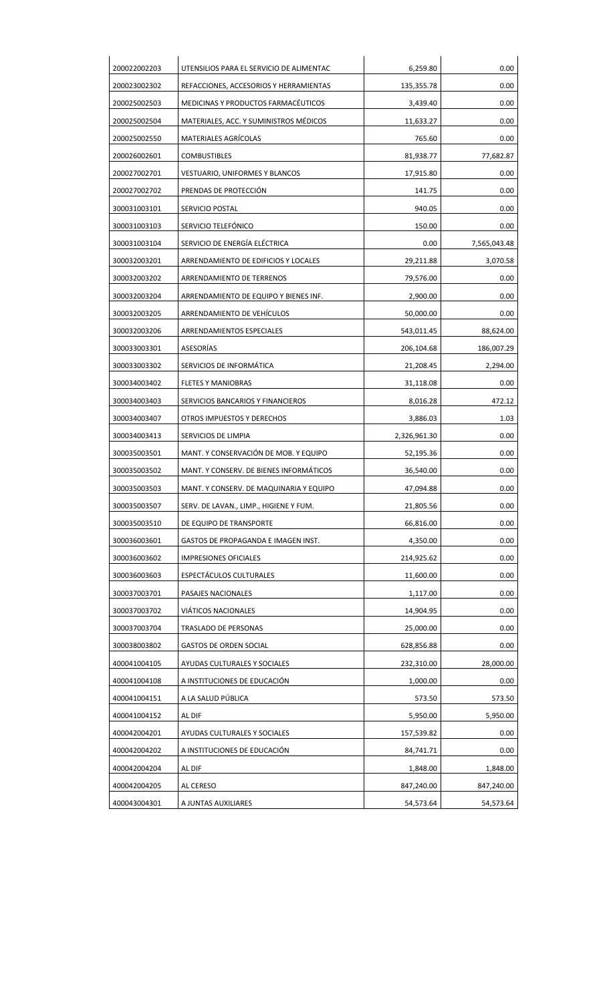| 200023002302<br>200025002503 | REFACCIONES, ACCESORIOS Y HERRAMIENTAS  | 135,355.78   |              |
|------------------------------|-----------------------------------------|--------------|--------------|
|                              |                                         |              | 0.00         |
|                              | MEDICINAS Y PRODUCTOS FARMACÉUTICOS     | 3,439.40     | 0.00         |
| 200025002504                 | MATERIALES, ACC. Y SUMINISTROS MÉDICOS  | 11,633.27    | 0.00         |
| 200025002550                 | <b>MATERIALES AGRÍCOLAS</b>             | 765.60       | 0.00         |
| 200026002601                 | <b>COMBUSTIBLES</b>                     | 81,938.77    | 77,682.87    |
| 200027002701                 | <b>VESTUARIO, UNIFORMES Y BLANCOS</b>   | 17,915.80    | 0.00         |
| 200027002702                 | PRENDAS DE PROTECCIÓN                   | 141.75       | 0.00         |
| 300031003101                 | SERVICIO POSTAL                         | 940.05       | 0.00         |
| 300031003103                 | SERVICIO TELEFÓNICO                     | 150.00       | 0.00         |
| 300031003104                 | SERVICIO DE ENERGÍA ELÉCTRICA           | 0.00         | 7,565,043.48 |
| 300032003201                 | ARRENDAMIENTO DE EDIFICIOS Y LOCALES    | 29,211.88    | 3,070.58     |
| 300032003202                 | ARRENDAMIENTO DE TERRENOS               | 79,576.00    | 0.00         |
| 300032003204                 | ARRENDAMIENTO DE EQUIPO Y BIENES INF.   | 2,900.00     | 0.00         |
| 300032003205                 | ARRENDAMIENTO DE VEHÍCULOS              | 50,000.00    | 0.00         |
| 300032003206                 | ARRENDAMIENTOS ESPECIALES               | 543,011.45   | 88,624.00    |
| 300033003301                 | ASESORÍAS                               | 206,104.68   | 186,007.29   |
| 300033003302                 | SERVICIOS DE INFORMÁTICA                | 21,208.45    | 2,294.00     |
| 300034003402                 | <b>FLETES Y MANIOBRAS</b>               | 31,118.08    | 0.00         |
| 300034003403                 | SERVICIOS BANCARIOS Y FINANCIEROS       | 8,016.28     | 472.12       |
| 300034003407                 | OTROS IMPUESTOS Y DERECHOS              | 3,886.03     | 1.03         |
| 300034003413                 | SERVICIOS DE LIMPIA                     | 2,326,961.30 | 0.00         |
| 300035003501                 | MANT. Y CONSERVACIÓN DE MOB. Y EQUIPO   | 52,195.36    | 0.00         |
| 300035003502                 | MANT. Y CONSERV. DE BIENES INFORMÁTICOS | 36,540.00    | 0.00         |
| 300035003503                 | MANT. Y CONSERV. DE MAQUINARIA Y EQUIPO | 47,094.88    | 0.00         |
| 300035003507                 | SERV. DE LAVAN., LIMP., HIGIENE Y FUM.  | 21,805.56    | 0.00         |
| 300035003510                 | DE EQUIPO DE TRANSPORTE                 | 66,816.00    | 0.00         |
| 300036003601                 | GASTOS DE PROPAGANDA E IMAGEN INST.     | 4,350.00     | 0.00         |
| 300036003602                 | <b>IMPRESIONES OFICIALES</b>            | 214,925.62   | 0.00         |
| 300036003603                 | ESPECTÁCULOS CULTURALES                 | 11,600.00    | 0.00         |
| 300037003701                 | PASAJES NACIONALES                      | 1,117.00     | 0.00         |
| 300037003702                 | VIÁTICOS NACIONALES                     | 14,904.95    | 0.00         |
| 300037003704                 | TRASLADO DE PERSONAS                    | 25,000.00    | 0.00         |
| 300038003802                 | <b>GASTOS DE ORDEN SOCIAL</b>           | 628,856.88   | 0.00         |
| 400041004105                 | AYUDAS CULTURALES Y SOCIALES            | 232,310.00   | 28,000.00    |
| 400041004108                 | A INSTITUCIONES DE EDUCACIÓN            | 1,000.00     | 0.00         |
| 400041004151                 | A LA SALUD PÚBLICA                      | 573.50       | 573.50       |
| 400041004152                 | AL DIF                                  | 5,950.00     | 5,950.00     |
| 400042004201                 | AYUDAS CULTURALES Y SOCIALES            | 157,539.82   | 0.00         |
| 400042004202                 | A INSTITUCIONES DE EDUCACIÓN            | 84,741.71    | 0.00         |
|                              | AL DIF                                  | 1,848.00     | 1,848.00     |
| 400042004204                 | AL CERESO                               | 847,240.00   | 847,240.00   |
| 400042004205                 |                                         |              |              |
|                              |                                         |              |              |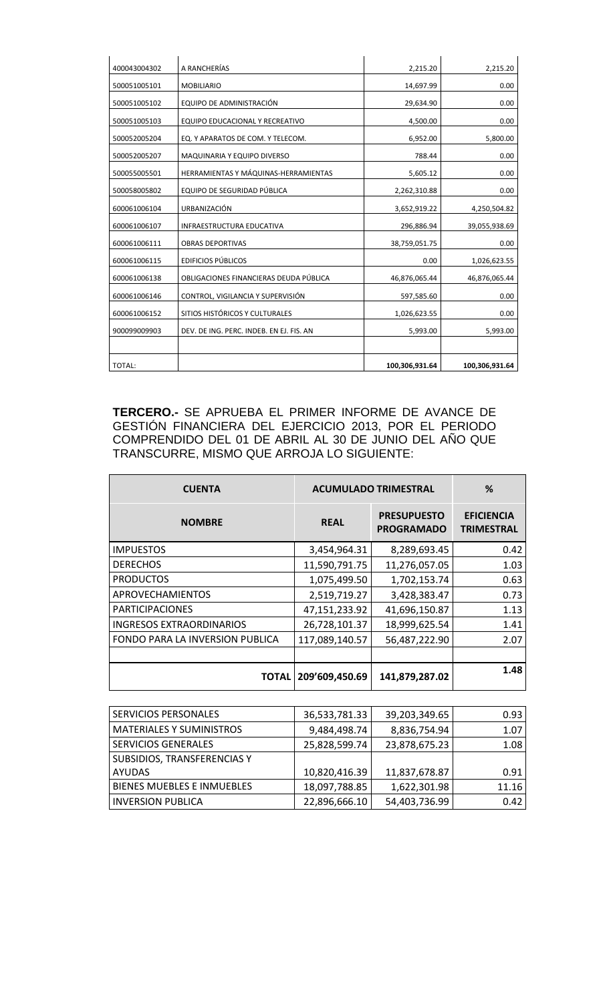| 400043004302 | A RANCHERÍAS                             | 2,215.20       | 2,215.20       |
|--------------|------------------------------------------|----------------|----------------|
| 500051005101 | <b>MOBILIARIO</b>                        | 14,697.99      | 0.00           |
| 500051005102 | EQUIPO DE ADMINISTRACIÓN                 | 29,634.90      | 0.00           |
| 500051005103 | EQUIPO EDUCACIONAL Y RECREATIVO          | 4,500.00       | 0.00           |
| 500052005204 | EQ. Y APARATOS DE COM. Y TELECOM.        | 6,952.00       | 5,800.00       |
| 500052005207 | MAQUINARIA Y EQUIPO DIVERSO              | 788.44         | 0.00           |
| 500055005501 | HERRAMIENTAS Y MÁQUINAS-HERRAMIENTAS     | 5,605.12       | 0.00           |
| 500058005802 | EQUIPO DE SEGURIDAD PÚBLICA              | 2,262,310.88   | 0.00           |
| 600061006104 | URBANIZACIÓN                             | 3,652,919.22   | 4,250,504.82   |
| 600061006107 | <b>INFRAESTRUCTURA EDUCATIVA</b>         | 296,886.94     | 39,055,938.69  |
| 600061006111 | <b>OBRAS DEPORTIVAS</b>                  | 38,759,051.75  | 0.00           |
| 600061006115 | <b>EDIFICIOS PÚBLICOS</b>                | 0.00           | 1,026,623.55   |
| 600061006138 | OBLIGACIONES FINANCIERAS DEUDA PÚBLICA   | 46,876,065.44  | 46,876,065.44  |
| 600061006146 | CONTROL, VIGILANCIA Y SUPERVISIÓN        | 597,585.60     | 0.00           |
| 600061006152 | SITIOS HISTÓRICOS Y CULTURALES           | 1,026,623.55   | 0.00           |
| 900099009903 | DEV. DE ING. PERC. INDEB. EN EJ. FIS. AN | 5,993.00       | 5,993.00       |
|              |                                          |                |                |
| TOTAL:       |                                          | 100,306,931.64 | 100,306,931.64 |

**TERCERO.-** SE APRUEBA EL PRIMER INFORME DE AVANCE DE GESTIÓN FINANCIERA DEL EJERCICIO 2013, POR EL PERIODO COMPRENDIDO DEL 01 DE ABRIL AL 30 DE JUNIO DEL AÑO QUE TRANSCURRE, MISMO QUE ARROJA LO SIGUIENTE:

| <b>CUENTA</b>                   | <b>ACUMULADO TRIMESTRAL</b> |                                         | %                                      |
|---------------------------------|-----------------------------|-----------------------------------------|----------------------------------------|
| <b>NOMBRE</b>                   | <b>REAL</b>                 | <b>PRESUPUESTO</b><br><b>PROGRAMADO</b> | <b>EFICIENCIA</b><br><b>TRIMESTRAL</b> |
| <b>IMPUESTOS</b>                | 3,454,964.31                | 8,289,693.45                            | 0.42                                   |
| <b>DERECHOS</b>                 | 11,590,791.75               | 11,276,057.05                           | 1.03                                   |
| <b>PRODUCTOS</b>                | 1,075,499.50                | 1,702,153.74                            | 0.63                                   |
| APROVECHAMIENTOS                | 2,519,719.27                | 3,428,383.47                            | 0.73                                   |
| <b>PARTICIPACIONES</b>          | 47,151,233.92               | 41,696,150.87                           | 1.13                                   |
| <b>INGRESOS EXTRAORDINARIOS</b> | 26,728,101.37               | 18,999,625.54                           | 1.41                                   |
| FONDO PARA LA INVERSION PUBLICA | 117,089,140.57              | 56,487,222.90                           | 2.07                                   |
|                                 |                             |                                         |                                        |
| <b>TOTAL</b>                    | 209'609,450.69              | 141,879,287.02                          | 1.48                                   |

| <b>SERVICIOS PERSONALES</b>       | 36,533,781.33 | 39,203,349.65 | 0.93  |
|-----------------------------------|---------------|---------------|-------|
| <b>MATERIALES Y SUMINISTROS</b>   | 9,484,498.74  | 8,836,754.94  | 1.07  |
| <b>SERVICIOS GENERALES</b>        | 25,828,599.74 | 23,878,675.23 | 1.08  |
| SUBSIDIOS, TRANSFERENCIAS Y       |               |               |       |
| <b>AYUDAS</b>                     | 10,820,416.39 | 11,837,678.87 | 0.91  |
| <b>BIENES MUEBLES E INMUEBLES</b> | 18,097,788.85 | 1,622,301.98  | 11.16 |
| <b>INVERSION PUBLICA</b>          | 22,896,666.10 | 54,403,736.99 | 0.42  |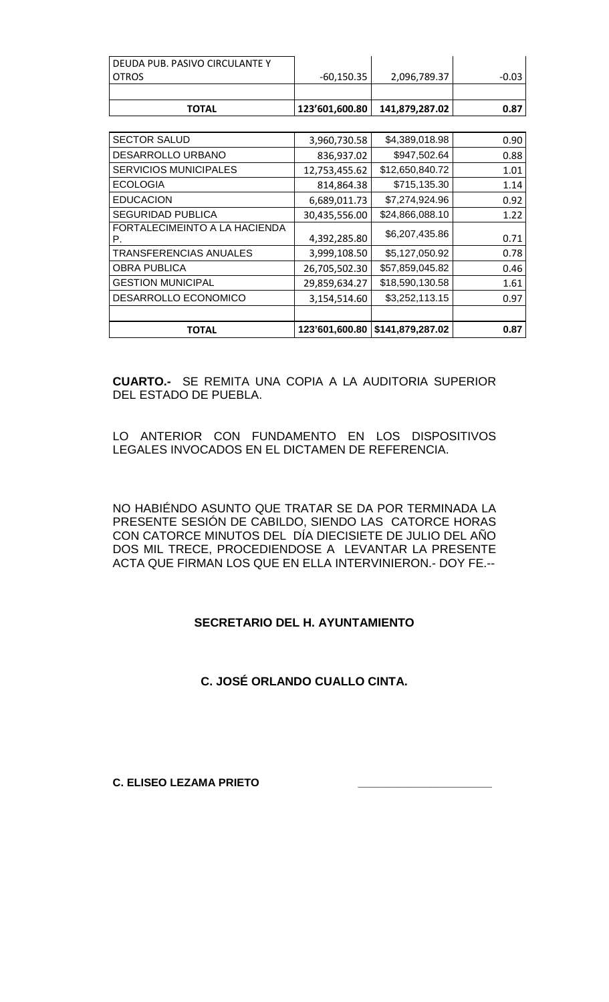| I DEUDA PUB. PASIVO CIRCULANTE Y |              |                                                    |         |
|----------------------------------|--------------|----------------------------------------------------|---------|
| <b>LOTROS</b>                    | $-60,150.35$ | 2,096,789.37                                       | $-0.03$ |
|                                  |              |                                                    |         |
| <b>TOTAL</b>                     |              | $\mid$ 123'601,600.80 $\mid$ 141,879,287.02 $\mid$ | 0.87    |

| <b>SECTOR SALUD</b>                 | 3,960,730.58   | \$4,389,018.98   | 0.90 |
|-------------------------------------|----------------|------------------|------|
| DESARROLLO URBANO                   | 836,937.02     | \$947,502.64     | 0.88 |
| <b>SERVICIOS MUNICIPALES</b>        | 12,753,455.62  | \$12,650,840.72  | 1.01 |
| <b>ECOLOGIA</b>                     | 814,864.38     | \$715,135.30     | 1.14 |
| <b>EDUCACION</b>                    | 6,689,011.73   | \$7,274,924.96   | 0.92 |
| <b>SEGURIDAD PUBLICA</b>            | 30,435,556.00  | \$24,866,088.10  | 1.22 |
| FORTALECIMEINTO A LA HACIENDA<br>Р. | 4,392,285.80   | \$6,207,435.86   | 0.71 |
| TRANSFERENCIAS ANUALES              | 3,999,108.50   | \$5,127,050.92   | 0.78 |
| <b>OBRA PUBLICA</b>                 | 26,705,502.30  | \$57,859,045.82  | 0.46 |
| <b>GESTION MUNICIPAL</b>            | 29,859,634.27  | \$18,590,130.58  | 1.61 |
| DESARROLLO ECONOMICO                | 3,154,514.60   | \$3,252,113.15   | 0.97 |
|                                     |                |                  |      |
| ΤΟΤΑL                               | 123'601,600.80 | \$141,879,287.02 | 0.87 |

**CUARTO.-** SE REMITA UNA COPIA A LA AUDITORIA SUPERIOR DEL ESTADO DE PUEBLA.

LO ANTERIOR CON FUNDAMENTO EN LOS DISPOSITIVOS LEGALES INVOCADOS EN EL DICTAMEN DE REFERENCIA.

NO HABIÉNDO ASUNTO QUE TRATAR SE DA POR TERMINADA LA PRESENTE SESIÓN DE CABILDO, SIENDO LAS CATORCE HORAS CON CATORCE MINUTOS DEL DÍA DIECISIETE DE JULIO DEL AÑO DOS MIL TRECE, PROCEDIENDOSE A LEVANTAR LA PRESENTE ACTA QUE FIRMAN LOS QUE EN ELLA INTERVINIERON.- DOY FE.--

## **SECRETARIO DEL H. AYUNTAMIENTO**

**C. JOSÉ ORLANDO CUALLO CINTA.**

**C. ELISEO LEZAMA PRIETO \_\_\_\_\_\_\_\_\_\_\_\_\_\_\_\_\_\_\_\_\_\_**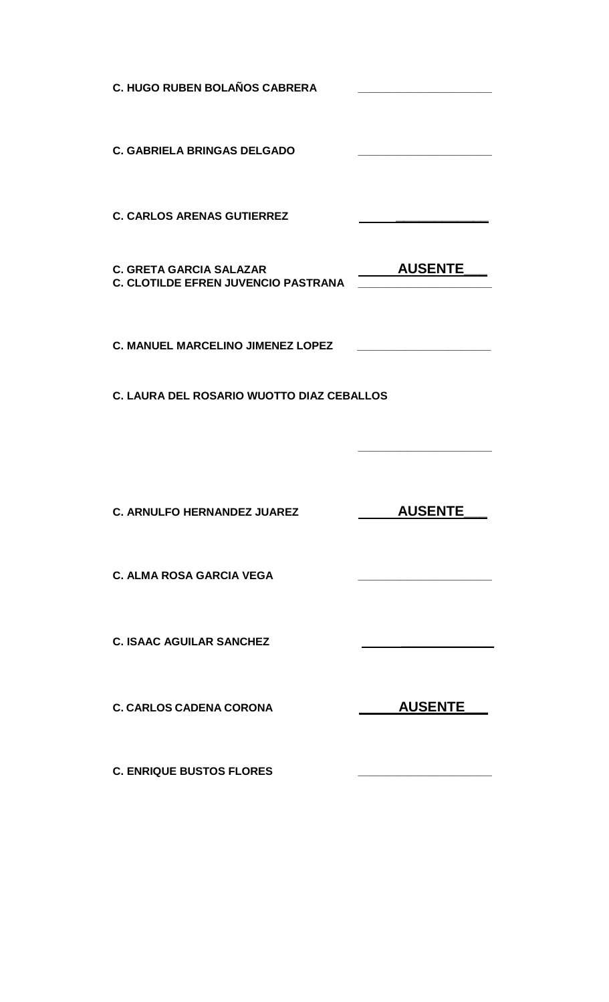| <b>C. HUGO RUBEN BOLAÑOS CABRERA</b>                                         |                                                                                                                       |
|------------------------------------------------------------------------------|-----------------------------------------------------------------------------------------------------------------------|
| <b>C. GABRIELA BRINGAS DELGADO</b>                                           | <u> 1989 - Johann Barbara, martin amerikan basar dan berasal dalam basar dalam basar dalam basar dalam basar dala</u> |
| <b>C. CARLOS ARENAS GUTIERREZ</b>                                            |                                                                                                                       |
| <b>C. GRETA GARCIA SALAZAR</b><br><b>C. CLOTILDE EFREN JUVENCIO PASTRANA</b> | <b>AUSENTE</b>                                                                                                        |
| <b>C. MANUEL MARCELINO JIMENEZ LOPEZ</b>                                     |                                                                                                                       |
| C. LAURA DEL ROSARIO WUOTTO DIAZ CEBALLOS                                    |                                                                                                                       |
|                                                                              |                                                                                                                       |
| <b>C. ARNULFO HERNANDEZ JUAREZ</b>                                           | <b>AUSENTE</b>                                                                                                        |
| <b>C. ALMA ROSA GARCIA VEGA</b>                                              |                                                                                                                       |
| <b>C. ISAAC AGUILAR SANCHEZ</b>                                              |                                                                                                                       |
| <b>C. CARLOS CADENA CORONA</b>                                               | <b>AUSENTE</b>                                                                                                        |
| <b>C. ENRIQUE BUSTOS FLORES</b>                                              |                                                                                                                       |